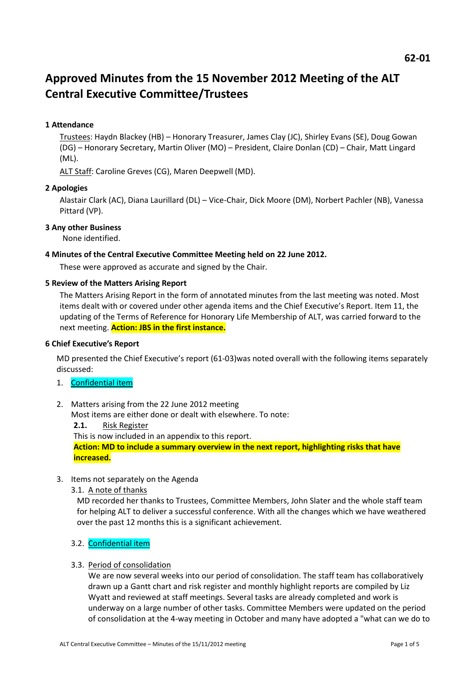# **Approved Minutes from the 15 November 2012 Meeting of the ALT Central Executive Committee/Trustees**

# **1 Attendance**

Trustees: Haydn Blackey (HB) – Honorary Treasurer, James Clay (JC), Shirley Evans (SE), Doug Gowan (DG) – Honorary Secretary, Martin Oliver (MO) – President, Claire Donlan (CD) – Chair, Matt Lingard (ML).

ALT Staff: Caroline Greves (CG), Maren Deepwell (MD).

# **2 Apologies**

Alastair Clark (AC), Diana Laurillard (DL) – Vice-Chair, Dick Moore (DM), Norbert Pachler (NB), Vanessa Pittard (VP).

## **3 Any other Business**

None identified.

#### **4 Minutes of the Central Executive Committee Meeting held on 22 June 2012.**

These were approved as accurate and signed by the Chair.

#### **5 Review of the Matters Arising Report**

The Matters Arising Report in the form of annotated minutes from the last meeting was noted. Most items dealt with or covered under other agenda items and the Chief Executive's Report. Item 11, the updating of the Terms of Reference for Honorary Life Membership of ALT, was carried forward to the next meeting. **Action: JBS in the first instance.**

#### **6 Chief Executive's Report**

MD presented the Chief Executive's report (61-03)was noted overall with the following items separately discussed:

- 1. Confidential item
- 2. Matters arising from the 22 June 2012 meeting

Most items are either done or dealt with elsewhere. To note:

**2.1.** Risk Register

This is now included in an appendix to this report.

**Action: MD to include a summary overview in the next report, highlighting risks that have increased.**

- 3. Items not separately on the Agenda
	- 3.1. A note of thanks

MD recorded her thanks to Trustees, Committee Members, John Slater and the whole staff team for helping ALT to deliver a successful conference. With all the changes which we have weathered over the past 12 months this is a significant achievement.

# 3.2. Confidential item

#### 3.3. Period of consolidation

We are now several weeks into our period of consolidation. The staff team has collaboratively drawn up a Gantt chart and risk register and monthly highlight reports are compiled by Liz Wyatt and reviewed at staff meetings. Several tasks are already completed and work is underway on a large number of other tasks. Committee Members were updated on the period of consolidation at the 4-way meeting in October and many have adopted a "what can we do to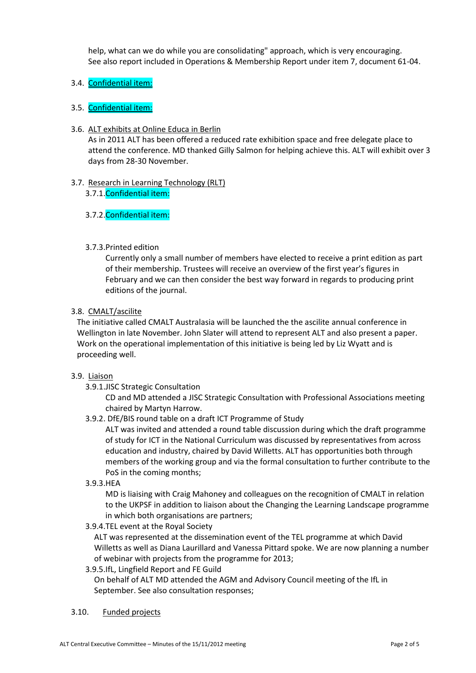help, what can we do while you are consolidating" approach, which is very encouraging. See also report included in Operations & Membership Report under item 7, document 61-04.

# 3.4. Confidential item:

# 3.5. Confidential item:

3.6. ALT exhibits at Online Educa in Berlin

As in 2011 ALT has been offered a reduced rate exhibition space and free delegate place to attend the conference. MD thanked Gilly Salmon for helping achieve this. ALT will exhibit over 3 days from 28-30 November.

# 3.7. Research in Learning Technology (RLT)

3.7.1.Confidential item:

# 3.7.2.Confidential item:

# 3.7.3.Printed edition

Currently only a small number of members have elected to receive a print edition as part of their membership. Trustees will receive an overview of the first year's figures in February and we can then consider the best way forward in regards to producing print editions of the journal.

# 3.8. CMALT/ascilite

The initiative called CMALT Australasia will be launched the the ascilite annual conference in Wellington in late November. John Slater will attend to represent ALT and also present a paper. Work on the operational implementation of this initiative is being led by Liz Wyatt and is proceeding well.

# 3.9. Liaison

3.9.1.JISC Strategic Consultation

CD and MD attended a JISC Strategic Consultation with Professional Associations meeting chaired by Martyn Harrow.

3.9.2. DfE/BIS round table on a draft ICT Programme of Study

ALT was invited and attended a round table discussion during which the draft programme of study for ICT in the National Curriculum was discussed by representatives from across education and industry, chaired by David Willetts. ALT has opportunities both through members of the working group and via the formal consultation to further contribute to the PoS in the coming months;

3.9.3.HEA

MD is liaising with Craig Mahoney and colleagues on the recognition of CMALT in relation to the UKPSF in addition to liaison about the Changing the Learning Landscape programme in which both organisations are partners;

3.9.4.TEL event at the Royal Society

ALT was represented at the dissemination event of the TEL programme at which David Willetts as well as Diana Laurillard and Vanessa Pittard spoke. We are now planning a number of webinar with projects from the programme for 2013;

3.9.5.IfL, Lingfield Report and FE Guild

On behalf of ALT MD attended the AGM and Advisory Council meeting of the IfL in September. See also consultation responses;

# 3.10. Funded projects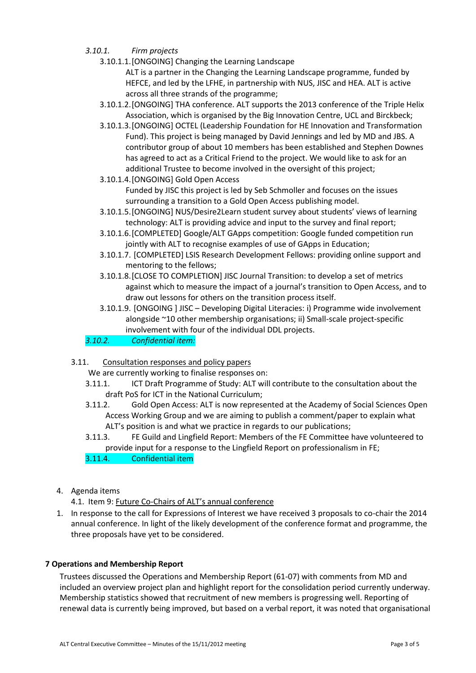- *3.10.1. Firm projects*
	- 3.10.1.1.[ONGOING] Changing the Learning Landscape ALT is a partner in the Changing the Learning Landscape programme, funded by HEFCE, and led by the LFHE, in partnership with NUS, JISC and HEA. ALT is active across all three strands of the programme;
	- 3.10.1.2.[ONGOING] THA conference. ALT supports the 2013 conference of the Triple Helix Association, which is organised by the Big Innovation Centre, UCL and Birckbeck;
	- 3.10.1.3.[ONGOING] OCTEL (Leadership Foundation for HE Innovation and Transformation Fund). This project is being managed by David Jennings and led by MD and JBS. A contributor group of about 10 members has been established and Stephen Downes has agreed to act as a Critical Friend to the project. We would like to ask for an additional Trustee to become involved in the oversight of this project;
	- 3.10.1.4.[ONGOING] Gold Open Access

Funded by JISC this project is led by Seb Schmoller and focuses on the issues surrounding a transition to a Gold Open Access publishing model.

- 3.10.1.5.[ONGOING] NUS/Desire2Learn student survey about students' views of learning technology: ALT is providing advice and input to the survey and final report;
- 3.10.1.6.[COMPLETED] Google/ALT GApps competition: Google funded competition run jointly with ALT to recognise examples of use of GApps in Education;
- 3.10.1.7. [COMPLETED] LSIS Research Development Fellows: providing online support and mentoring to the fellows;
- 3.10.1.8.[CLOSE TO COMPLETION] JISC Journal Transition: to develop a set of metrics against which to measure the impact of a journal's transition to Open Access, and to draw out lessons for others on the transition process itself.
- 3.10.1.9. [ONGOING ] JISC Developing Digital Literacies: i) Programme wide involvement alongside ~10 other membership organisations; ii) Small-scale project-specific involvement with four of the individual DDL projects.

*3.10.2. Confidential item:* 

3.11. Consultation responses and policy papers

We are currently working to finalise responses on:

- 3.11.1. ICT Draft Programme of Study: ALT will contribute to the consultation about the draft PoS for ICT in the National Curriculum;
- 3.11.2. Gold Open Access: ALT is now represented at the Academy of Social Sciences Open Access Working Group and we are aiming to publish a comment/paper to explain what ALT's position is and what we practice in regards to our publications;
- 3.11.3. FE Guild and Lingfield Report: Members of the FE Committee have volunteered to provide input for a response to the Lingfield Report on professionalism in FE;
- 3.11.4. Confidential item
- 4. Agenda items

4.1. Item 9: Future Co-Chairs of ALT's annual conference

1. In response to the call for Expressions of Interest we have received 3 proposals to co-chair the 2014 annual conference. In light of the likely development of the conference format and programme, the three proposals have yet to be considered.

# **7 Operations and Membership Report**

Trustees discussed the Operations and Membership Report (61-07) with comments from MD and included an overview project plan and highlight report for the consolidation period currently underway. Membership statistics showed that recruitment of new members is progressing well. Reporting of renewal data is currently being improved, but based on a verbal report, it was noted that organisational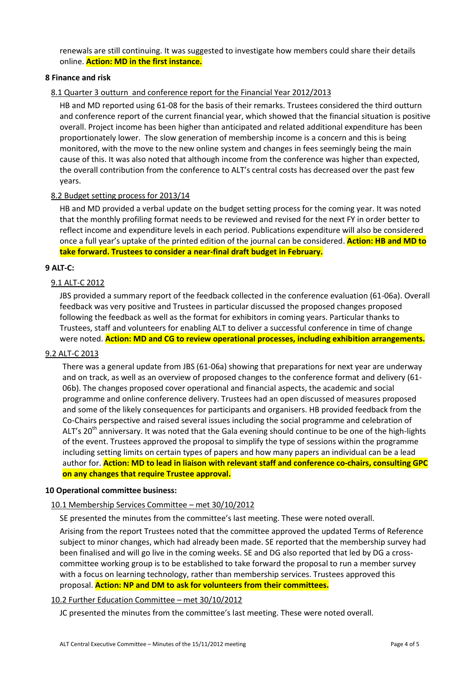renewals are still continuing. It was suggested to investigate how members could share their details online. **Action: MD in the first instance.**

## **8 Finance and risk**

## 8.1 Quarter 3 outturn and conference report for the Financial Year 2012/2013

HB and MD reported using 61-08 for the basis of their remarks. Trustees considered the third outturn and conference report of the current financial year, which showed that the financial situation is positive overall. Project income has been higher than anticipated and related additional expenditure has been proportionately lower. The slow generation of membership income is a concern and this is being monitored, with the move to the new online system and changes in fees seemingly being the main cause of this. It was also noted that although income from the conference was higher than expected, the overall contribution from the conference to ALT's central costs has decreased over the past few years.

#### 8.2 Budget setting process for 2013/14

HB and MD provided a verbal update on the budget setting process for the coming year. It was noted that the monthly profiling format needs to be reviewed and revised for the next FY in order better to reflect income and expenditure levels in each period. Publications expenditure will also be considered once a full year's uptake of the printed edition of the journal can be considered. **Action: HB and MD to take forward. Trustees to consider a near-final draft budget in February.**

#### **9 ALT-C:**

# 9.1 ALT-C 2012

JBS provided a summary report of the feedback collected in the conference evaluation (61-06a). Overall feedback was very positive and Trustees in particular discussed the proposed changes proposed following the feedback as well as the format for exhibitors in coming years. Particular thanks to Trustees, staff and volunteers for enabling ALT to deliver a successful conference in time of change were noted. **Action: MD and CG to review operational processes, including exhibition arrangements.**

#### 9.2 ALT-C 2013

There was a general update from JBS (61-06a) showing that preparations for next year are underway and on track, as well as an overview of proposed changes to the conference format and delivery (61- 06b). The changes proposed cover operational and financial aspects, the academic and social programme and online conference delivery. Trustees had an open discussed of measures proposed and some of the likely consequences for participants and organisers. HB provided feedback from the Co-Chairs perspective and raised several issues including the social programme and celebration of ALT's 20<sup>th</sup> anniversary. It was noted that the Gala evening should continue to be one of the high-lights of the event. Trustees approved the proposal to simplify the type of sessions within the programme including setting limits on certain types of papers and how many papers an individual can be a lead author for. **Action: MD to lead in liaison with relevant staff and conference co-chairs, consulting GPC on any changes that require Trustee approval.**

#### **10 Operational committee business:**

# 10.1 Membership Services Committee – met 30/10/2012

SE presented the minutes from the committee's last meeting. These were noted overall.

Arising from the report Trustees noted that the committee approved the updated Terms of Reference subject to minor changes, which had already been made. SE reported that the membership survey had been finalised and will go live in the coming weeks. SE and DG also reported that led by DG a crosscommittee working group is to be established to take forward the proposal to run a member survey with a focus on learning technology, rather than membership services. Trustees approved this proposal. **Action: NP and DM to ask for volunteers from their committees.**

# 10.2 Further Education Committee – met 30/10/2012

JC presented the minutes from the committee's last meeting. These were noted overall.